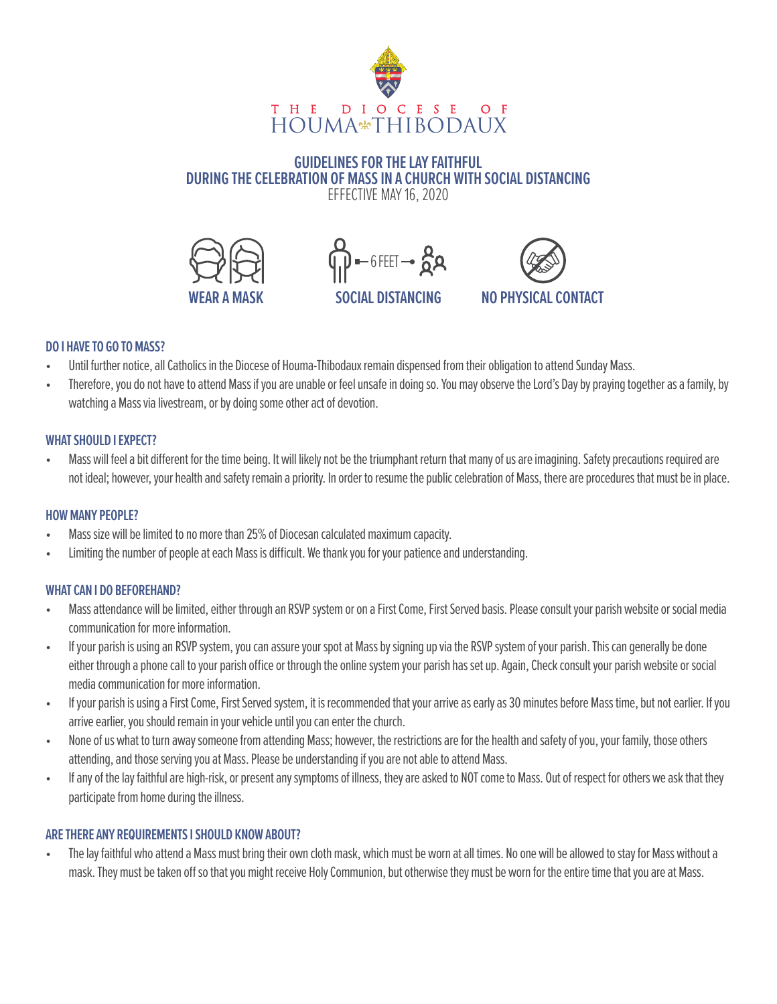

#### **GUIDELINES FOR THE LAY FAITHFUL DURING THE CELEBRATION OF MASS IN A CHURCH WITH SOCIAL DISTANCING** EFFECTIVE MAY 16, 2020







#### **DO I HAVE TO GO TO MASS?**

- Until further notice, all Catholics in the Diocese of Houma-Thibodaux remain dispensed from their obligation to attend Sunday Mass.
- Therefore, you do not have to attend Mass if you are unable or feel unsafe in doing so. You may observe the Lord's Day by praying together as a family, by watching a Mass via livestream, or by doing some other act of devotion.

### **WHAT SHOULD I EXPECT?**

Mass will feel a bit different for the time being. It will likely not be the triumphant return that many of us are imagining. Safety precautions required are not ideal; however, your health and safety remain a priority. In order to resume the public celebration of Mass, there are procedures that must be in place.

# **HOW MANY PEOPLE?**

- Mass size will be limited to no more than 25% of Diocesan calculated maximum capacity.
- Limiting the number of people at each Mass is difficult. We thank you for your patience and understanding.

# **WHAT CAN I DO BEFOREHAND?**

- Mass attendance will be limited, either through an RSVP system or on a First Come, First Served basis. Please consult your parish website or social media communication for more information.
- If your parish is using an RSVP system, you can assure your spot at Mass by signing up via the RSVP system of your parish. This can generally be done either through a phone call to your parish office or through the online system your parish has set up. Again, Check consult your parish website or social media communication for more information.
- If your parish is using a First Come, First Served system, it is recommended that your arrive as early as 30 minutes before Mass time, but not earlier. If you arrive earlier, you should remain in your vehicle until you can enter the church.
- None of us what to turn away someone from attending Mass; however, the restrictions are for the health and safety of you, your family, those others attending, and those serving you at Mass. Please be understanding if you are not able to attend Mass.
- If any of the lay faithful are high-risk, or present any symptoms of illness, they are asked to NOT come to Mass. Out of respect for others we ask that they participate from home during the illness.

#### **ARE THERE ANY REQUIREMENTS I SHOULD KNOW ABOUT?**

• The lay faithful who attend a Mass must bring their own cloth mask, which must be worn at all times. No one will be allowed to stay for Mass without a mask. They must be taken off so that you might receive Holy Communion, but otherwise they must be worn for the entire time that you are at Mass.